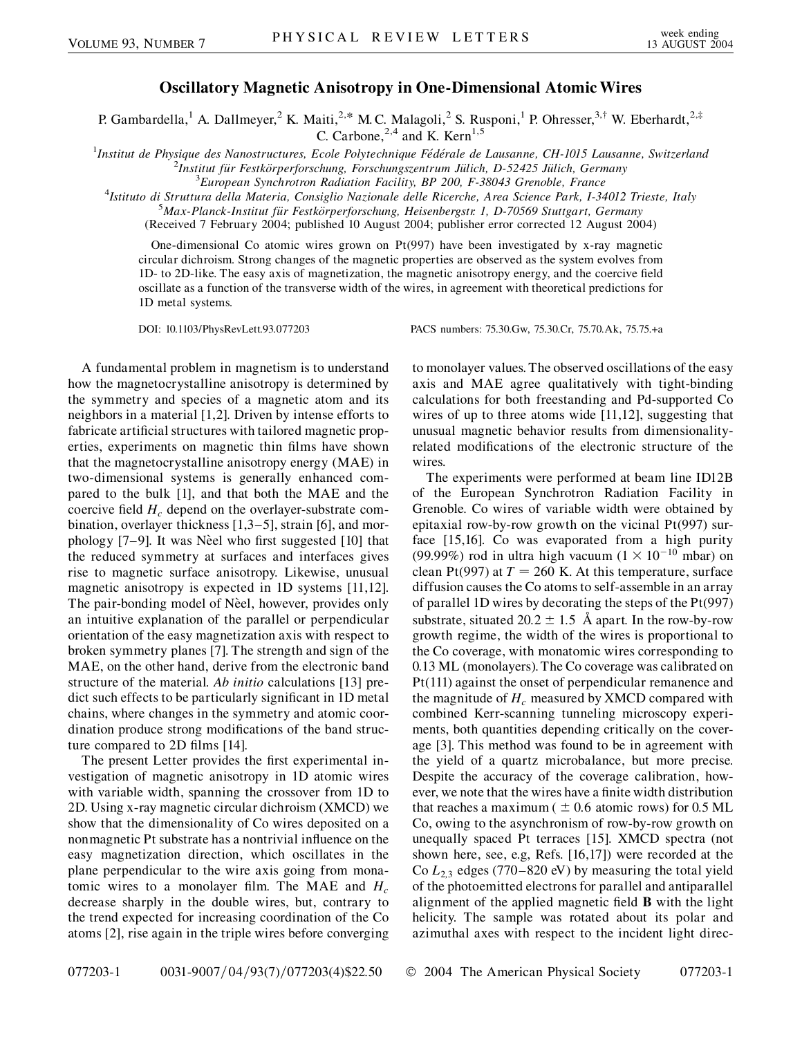## **Oscillatory Magnetic Anisotropy in One-Dimensional Atomic Wires**

P. Gambardella,<sup>1</sup> A. Dallmeyer,<sup>2</sup> K. Maiti,<sup>2,\*</sup> M. C. Malagoli,<sup>2</sup> S. Rusponi,<sup>1</sup> P. Ohresser,<sup>3,†</sup> W. Eberhardt,<sup>2,‡</sup>

C. Carbone, $^{2,4}$  and K. Kern<sup>1,5</sup>

<sup>1</sup>Institut de Physique des Nanostructures, Ecole Polytechnique Fédérale de Lausanne, CH-1015 Lausanne, Switzerland<br><sup>2</sup>Institut für Esstkörnarforschung, Forschungszertrum Jülich, D.52425 Jülich Cermany

<sup>2</sup>Institut für Festkörperforschung, Forschungszentrum Jülich, D-52425 Jülich, Germany

*European Synchrotron Radiation Facility, BP 200, F-38043 Grenoble, France* <sup>4</sup>

*Istituto di Struttura della Materia, Consiglio Nazionale delle Ricerche, Area Science Park, I-34012 Trieste, Italy* <sup>5</sup>

*Max-Planck-Institut fu¨r Festko¨rperforschung, Heisenbergstr. 1, D-70569 Stuttgart, Germany* (Received 7 February 2004; published 10 August 2004; publisher error corrected 12 August 2004)

One-dimensional Co atomic wires grown on Pt(997) have been investigated by x-ray magnetic circular dichroism. Strong changes of the magnetic properties are observed as the system evolves from 1D- to 2D-like. The easy axis of magnetization, the magnetic anisotropy energy, and the coercive field oscillate as a function of the transverse width of the wires, in agreement with theoretical predictions for 1D metal systems.

DOI: 10.1103/PhysRevLett.93.077203 PACS numbers: 75.30.Gw, 75.30.Cr, 75.70.Ak, 75.75.+a

A fundamental problem in magnetism is to understand how the magnetocrystalline anisotropy is determined by the symmetry and species of a magnetic atom and its neighbors in a material [1,2]. Driven by intense efforts to fabricate artificial structures with tailored magnetic properties, experiments on magnetic thin films have shown that the magnetocrystalline anisotropy energy (MAE) in two-dimensional systems is generally enhanced compared to the bulk [1], and that both the MAE and the coercive field  $H_c$  depend on the overlayer-substrate combination, overlayer thickness [1,3–5], strain [6], and morphology  $[7-9]$ . It was Nèel who first suggested  $[10]$  that the reduced symmetry at surfaces and interfaces gives rise to magnetic surface anisotropy. Likewise, unusual magnetic anisotropy is expected in 1D systems [11,12]. The pair-bonding model of Nèel, however, provides only an intuitive explanation of the parallel or perpendicular orientation of the easy magnetization axis with respect to broken symmetry planes [7]. The strength and sign of the MAE, on the other hand, derive from the electronic band structure of the material. *Ab initio* calculations [13] predict such effects to be particularly significant in 1D metal chains, where changes in the symmetry and atomic coordination produce strong modifications of the band structure compared to 2D films [14].

The present Letter provides the first experimental investigation of magnetic anisotropy in 1D atomic wires with variable width, spanning the crossover from 1D to 2D. Using x-ray magnetic circular dichroism (XMCD) we show that the dimensionality of Co wires deposited on a nonmagnetic Pt substrate has a nontrivial influence on the easy magnetization direction, which oscillates in the plane perpendicular to the wire axis going from monatomic wires to a monolayer film. The MAE and  $H_c$ decrease sharply in the double wires, but, contrary to the trend expected for increasing coordination of the Co atoms [2], rise again in the triple wires before converging to monolayer values. The observed oscillations of the easy axis and MAE agree qualitatively with tight-binding calculations for both freestanding and Pd-supported Co wires of up to three atoms wide [11,12], suggesting that unusual magnetic behavior results from dimensionalityrelated modifications of the electronic structure of the wires.

The experiments were performed at beam line ID12B of the European Synchrotron Radiation Facility in Grenoble. Co wires of variable width were obtained by epitaxial row-by-row growth on the vicinal Pt(997) surface [15,16]. Co was evaporated from a high purity (99.99%) rod in ultra high vacuum  $(1 \times 10^{-10}$  mbar) on clean Pt(997) at  $T = 260$  K. At this temperature, surface diffusion causes the Co atoms to self-assemble in an array of parallel 1D wires by decorating the steps of the Pt(997) substrate, situated  $20.2 \pm 1.5$  Å apart. In the row-by-row growth regime, the width of the wires is proportional to the Co coverage, with monatomic wires corresponding to 0.13 ML (monolayers). The Co coverage was calibrated on Pt(111) against the onset of perpendicular remanence and the magnitude of  $H_c$  measured by XMCD compared with combined Kerr-scanning tunneling microscopy experiments, both quantities depending critically on the coverage [3]. This method was found to be in agreement with the yield of a quartz microbalance, but more precise. Despite the accuracy of the coverage calibration, however, we note that the wires have a finite width distribution that reaches a maximum  $( \pm 0.6$  atomic rows) for 0.5 ML Co, owing to the asynchronism of row-by-row growth on unequally spaced Pt terraces [15]. XMCD spectra (not shown here, see, e.g, Refs. [16,17]) were recorded at the Co  $L_{2,3}$  edges (770–820 eV) by measuring the total yield of the photoemitted electrons for parallel and antiparallel alignment of the applied magnetic field **B** with the light helicity. The sample was rotated about its polar and azimuthal axes with respect to the incident light direc-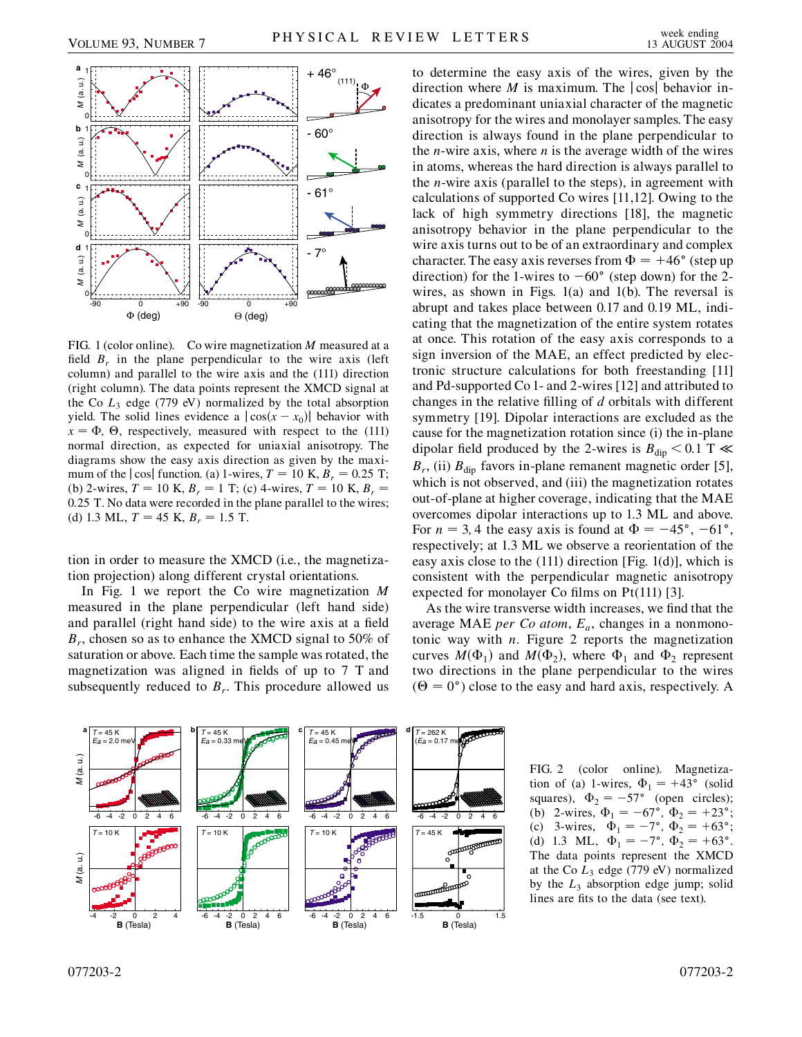

FIG. 1 (color online). Co wire magnetization *M* measured at a field  $B_r$  in the plane perpendicular to the wire axis (left column) and parallel to the wire axis and the (111) direction (right column). The data points represent the XMCD signal at the Co  $L_3$  edge (779 eV) normalized by the total absorption yield. The solid lines evidence a  $|\cos(x - x_0)|$  behavior with  $x = \Phi$ ,  $\Theta$ , respectively, measured with respect to the (111) normal direction, as expected for uniaxial anisotropy. The diagrams show the easy axis direction as given by the maximum of the  $|\cos|$  function. (a) 1-wires,  $T = 10$  K,  $B_r = 0.25$  T; (b) 2-wires,  $T = 10$  K,  $B_r = 1$  T; (c) 4-wires,  $T = 10$  K,  $B_r =$ 0*:*25 T. No data were recorded in the plane parallel to the wires; (d) 1.3 ML,  $T = 45$  K,  $B_r = 1.5$  T.

tion in order to measure the XMCD (i.e., the magnetization projection) along different crystal orientations.

In Fig. 1 we report the Co wire magnetization *M* measured in the plane perpendicular (left hand side) and parallel (right hand side) to the wire axis at a field *Br*, chosen so as to enhance the XMCD signal to 50% of saturation or above. Each time the sample was rotated, the magnetization was aligned in fields of up to 7 T and subsequently reduced to  $B_r$ . This procedure allowed us to determine the easy axis of the wires, given by the direction where *M* is maximum. The  $|\cos|$  behavior indicates a predominant uniaxial character of the magnetic anisotropy for the wires and monolayer samples. The easy direction is always found in the plane perpendicular to the *n*-wire axis, where *n* is the average width of the wires in atoms, whereas the hard direction is always parallel to the *n*-wire axis (parallel to the steps), in agreement with calculations of supported Co wires [11,12]. Owing to the lack of high symmetry directions [18], the magnetic anisotropy behavior in the plane perpendicular to the wire axis turns out to be of an extraordinary and complex character. The easy axis reverses from  $\Phi = +46^{\circ}$  (step up direction) for the 1-wires to  $-60^{\circ}$  (step down) for the 2wires, as shown in Figs. 1(a) and 1(b). The reversal is abrupt and takes place between 0.17 and 0.19 ML, indicating that the magnetization of the entire system rotates at once. This rotation of the easy axis corresponds to a sign inversion of the MAE, an effect predicted by electronic structure calculations for both freestanding [11] and Pd-supported Co 1- and 2-wires [12] and attributed to changes in the relative filling of *d* orbitals with different symmetry [19]. Dipolar interactions are excluded as the cause for the magnetization rotation since (i) the in-plane dipolar field produced by the 2-wires is  $B_{\text{dip}} < 0.1 \text{ T} \ll 1$  $B_r$ , (ii)  $B_{\text{dip}}$  favors in-plane remanent magnetic order [5], which is not observed, and (iii) the magnetization rotates out-of-plane at higher coverage, indicating that the MAE overcomes dipolar interactions up to 1.3 ML and above. For  $n = 3, 4$  the easy axis is found at  $\Phi = -45^{\circ}, -61^{\circ}$ , respectively; at 1.3 ML we observe a reorientation of the easy axis close to the (111) direction [Fig. 1(d)], which is consistent with the perpendicular magnetic anisotropy expected for monolayer Co films on Pt(111) [3].

As the wire transverse width increases, we find that the average MAE *per Co atom*, *Ea*, changes in a nonmonotonic way with *n*. Figure 2 reports the magnetization curves  $M(\Phi_1)$  and  $M(\Phi_2)$ , where  $\Phi_1$  and  $\Phi_2$  represent two directions in the plane perpendicular to the wires  $(\Theta = 0^{\circ})$  close to the easy and hard axis, respectively. A



FIG. 2 (color online). Magnetization of (a) 1-wires,  $\Phi_1 = +43^\circ$  (solid squares),  $\Phi_2 = -57^\circ$  (open circles); (b) 2-wires,  $\Phi_1 = -67^\circ$ ,  $\Phi_2 = +23^\circ$ ; (c) 3-wires,  $\Phi_1 = -7^\circ$ ,  $\Phi_2 = +63^\circ$ ; (d) 1.3 ML,  $\Phi_1 = -7^\circ$ ,  $\Phi_2 = +63^\circ$ . The data points represent the XMCD at the Co  $L_3$  edge (779 eV) normalized by the  $L_3$  absorption edge jump; solid lines are fits to the data (see text).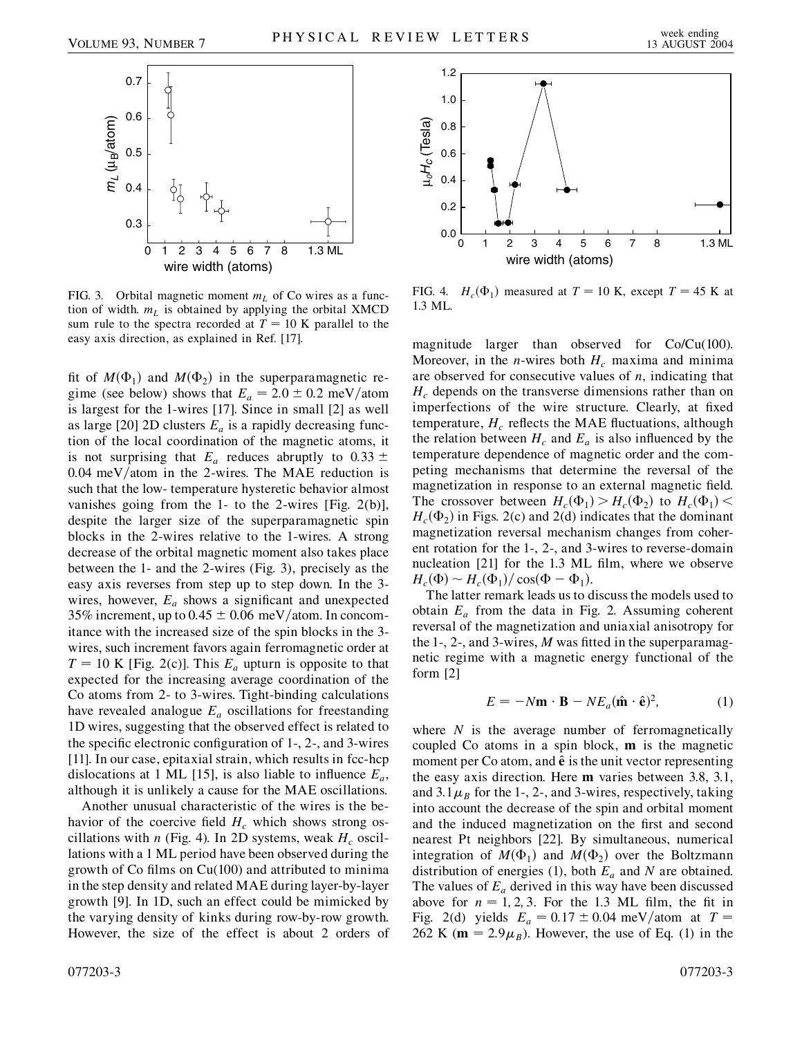

FIG. 3. Orbital magnetic moment  $m<sub>L</sub>$  of Co wires as a function of width.  $m<sub>L</sub>$  is obtained by applying the orbital XMCD sum rule to the spectra recorded at  $T = 10$  K parallel to the easy axis direction, as explained in Ref. [17].

fit of  $M(\Phi_1)$  and  $M(\Phi_2)$  in the superparamagnetic regime (see below) shows that  $E_a = 2.0 \pm 0.2$  meV/atom is largest for the 1-wires [17]. Since in small [2] as well as large [20] 2D clusters  $E_a$  is a rapidly decreasing function of the local coordination of the magnetic atoms, it is not surprising that  $E_a$  reduces abruptly to  $0.33 \pm$ 0.04 meV/atom in the 2-wires. The MAE reduction is such that the low- temperature hysteretic behavior almost vanishes going from the 1- to the 2-wires [Fig. 2(b)], despite the larger size of the superparamagnetic spin blocks in the 2-wires relative to the 1-wires. A strong decrease of the orbital magnetic moment also takes place between the 1- and the 2-wires (Fig. 3), precisely as the easy axis reverses from step up to step down. In the 3 wires, however,  $E_a$  shows a significant and unexpected 35% increment, up to  $0.45 \pm 0.06$  meV/atom. In concomitance with the increased size of the spin blocks in the 3 wires, such increment favors again ferromagnetic order at  $T = 10$  K [Fig. 2(c)]. This  $E_a$  upturn is opposite to that expected for the increasing average coordination of the Co atoms from 2- to 3-wires. Tight-binding calculations have revealed analogue  $E_a$  oscillations for freestanding 1D wires, suggesting that the observed effect is related to the specific electronic configuration of 1-, 2-, and 3-wires [11]. In our case, epitaxial strain, which results in fcc-hcp dislocations at 1 ML [15], is also liable to influence  $E_a$ , although it is unlikely a cause for the MAE oscillations.

Another unusual characteristic of the wires is the behavior of the coercive field  $H_c$  which shows strong oscillations with *n* (Fig. 4). In 2D systems, weak  $H_c$  oscillations with a 1 ML period have been observed during the growth of Co films on Cu(100) and attributed to minima in the step density and related MAE during layer-by-layer growth [9]. In 1D, such an effect could be mimicked by the varying density of kinks during row-by-row growth. However, the size of the effect is about 2 orders of



FIG. 4.  $H_c(\Phi_1)$  measured at  $T = 10$  K, except  $T = 45$  K at 1.3 ML.

magnitude larger than observed for Co/Cu(100). Moreover, in the *n*-wires both  $H_c$  maxima and minima are observed for consecutive values of *n*, indicating that  $H_c$  depends on the transverse dimensions rather than on imperfections of the wire structure. Clearly, at fixed temperature,  $H_c$  reflects the MAE fluctuations, although the relation between  $H_c$  and  $E_a$  is also influenced by the temperature dependence of magnetic order and the competing mechanisms that determine the reversal of the magnetization in response to an external magnetic field. The crossover between  $H_c(\Phi_1) > H_c(\Phi_2)$  to  $H_c(\Phi_1) <$  $H_c(\Phi_2)$  in Figs. 2(c) and 2(d) indicates that the dominant magnetization reversal mechanism changes from coherent rotation for the 1-, 2-, and 3-wires to reverse-domain nucleation [21] for the 1.3 ML film, where we observe  $H_c(\Phi) \sim H_c(\Phi_1) / \cos(\Phi - \Phi_1).$ 

The latter remark leads us to discuss the models used to obtain  $E_a$  from the data in Fig. 2. Assuming coherent reversal of the magnetization and uniaxial anisotropy for the 1-, 2-, and 3-wires, *M* was fitted in the superparamagnetic regime with a magnetic energy functional of the form [2]

$$
E = -N\mathbf{m} \cdot \mathbf{B} - NE_a(\hat{\mathbf{m}} \cdot \hat{\mathbf{e}})^2, \tag{1}
$$

where *N* is the average number of ferromagnetically coupled Co atoms in a spin block, **m** is the magnetic moment per Co atom, and  $\hat{\mathbf{e}}$  is the unit vector representing the easy axis direction. Here **m** varies between 3.8, 3.1, and  $3.1\mu_B$  for the 1-, 2-, and 3-wires, respectively, taking into account the decrease of the spin and orbital moment and the induced magnetization on the first and second nearest Pt neighbors [22]. By simultaneous, numerical integration of  $M(\Phi_1)$  and  $M(\Phi_2)$  over the Boltzmann distribution of energies (1), both *Ea* and *N* are obtained. The values of  $E_a$  derived in this way have been discussed above for  $n = 1, 2, 3$ . For the 1.3 ML film, the fit in Fig. 2(d) yields  $E_a = 0.17 \pm 0.04$  meV/atom at  $T =$ 262 K ( $\mathbf{m} = 2.9 \mu_B$ ). However, the use of Eq. (1) in the